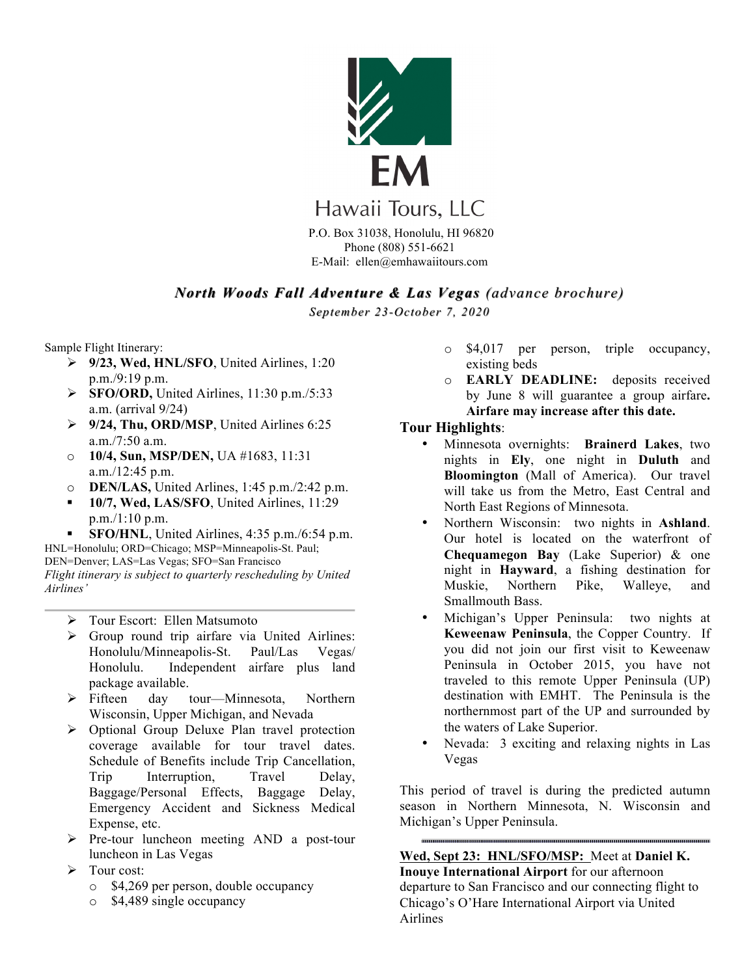

P.O. Box 31038, Honolulu, HI 96820 Phone (808) 551-6621 E-Mail: ellen@emhawaiitours.com

# *North Woods Fall Adventure & Las Vegas (advance brochure)*

*September 23-October 7, 2020*

Sample Flight Itinerary:

- Ø **9/23, Wed, HNL/SFO**, United Airlines, 1:20 p.m./9:19 p.m.
- Ø **SFO/ORD,** United Airlines, 11:30 p.m./5:33 a.m. (arrival 9/24)
- Ø **9/24, Thu, ORD/MSP**, United Airlines 6:25 a.m./7:50 a.m.
- o **10/4, Sun, MSP/DEN,** UA #1683, 11:31 a.m./12:45 p.m.
- o **DEN/LAS,** United Arlines, 1:45 p.m./2:42 p.m.
- § **10/7, Wed, LAS/SFO**, United Airlines, 11:29 p.m./1:10 p.m.
- § **SFO/HNL**, United Airlines, 4:35 p.m./6:54 p.m. HNL=Honolulu; ORD=Chicago; MSP=Minneapolis-St. Paul;

DEN=Denver; LAS=Las Vegas; SFO=San Francisco *Flight itinerary is subject to quarterly rescheduling by United Airlines'* 

- Ø Tour Escort: Ellen Matsumoto
- $\triangleright$  Group round trip airfare via United Airlines: Honolulu/Minneapolis-St. Paul/Las Vegas/ Honolulu. Independent airfare plus land package available.
- Ø Fifteen day tour—Minnesota, Northern Wisconsin, Upper Michigan, and Nevada
- $\triangleright$  Optional Group Deluxe Plan travel protection coverage available for tour travel dates. Schedule of Benefits include Trip Cancellation, Trip Interruption, Travel Delay, Baggage/Personal Effects, Baggage Delay, Emergency Accident and Sickness Medical Expense, etc.
- Ø Pre-tour luncheon meeting AND a post-tour luncheon in Las Vegas
- $\triangleright$  Tour cost:
	- o \$4,269 per person, double occupancy
	- o \$4,489 single occupancy
- o \$4,017 per person, triple occupancy, existing beds
- o **EARLY DEADLINE:** deposits received by June 8 will guarantee a group airfare**. Airfare may increase after this date.**

## **Tour Highlights**:

- Minnesota overnights: **Brainerd Lakes**, two nights in **Ely**, one night in **Duluth** and **Bloomington** (Mall of America). Our travel will take us from the Metro, East Central and North East Regions of Minnesota.
- Northern Wisconsin: two nights in **Ashland**. Our hotel is located on the waterfront of **Chequamegon Bay** (Lake Superior) & one night in **Hayward**, a fishing destination for Muskie, Northern Pike, Walleye, and Smallmouth Bass.
- Michigan's Upper Peninsula: two nights at **Keweenaw Peninsula**, the Copper Country. If you did not join our first visit to Keweenaw Peninsula in October 2015, you have not traveled to this remote Upper Peninsula (UP) destination with EMHT. The Peninsula is the northernmost part of the UP and surrounded by the waters of Lake Superior.
- Nevada: 3 exciting and relaxing nights in Las Vegas

This period of travel is during the predicted autumn season in Northern Minnesota, N. Wisconsin and Michigan's Upper Peninsula.

**Wed, Sept 23: HNL/SFO/MSP:** Meet at **Daniel K. Inouye International Airport** for our afternoon departure to San Francisco and our connecting flight to Chicago's O'Hare International Airport via United Airlines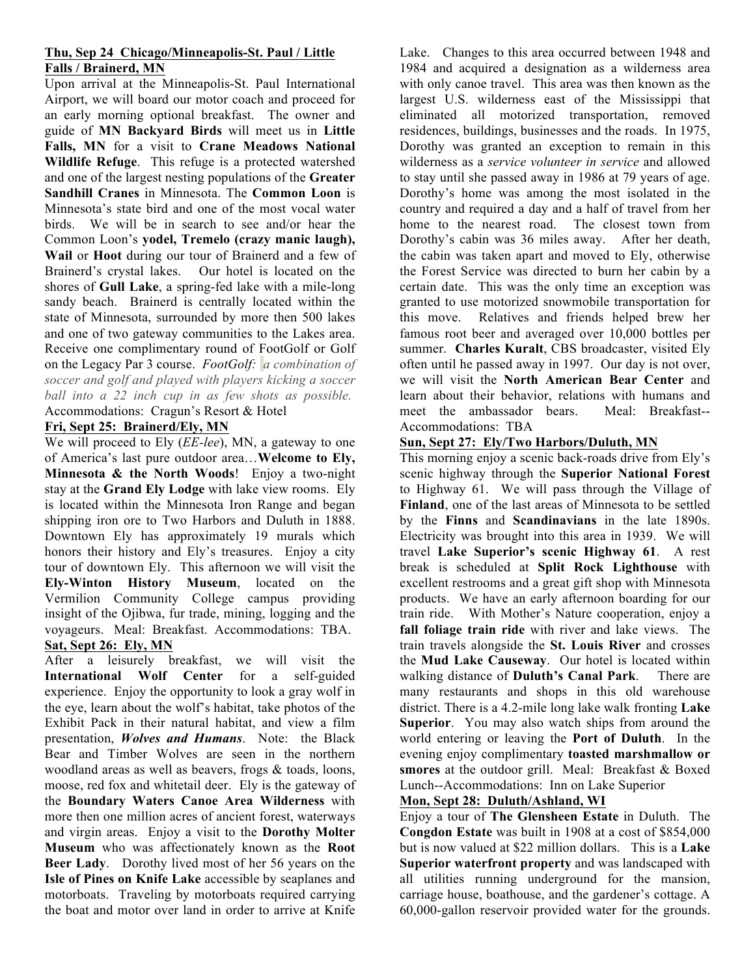## **Thu, Sep 24 Chicago/Minneapolis-St. Paul / Little Falls / Brainerd, MN**

Upon arrival at the Minneapolis-St. Paul International Airport, we will board our motor coach and proceed for an early morning optional breakfast. The owner and guide of **MN Backyard Birds** will meet us in **Little Falls, MN** for a visit to **Crane Meadows National Wildlife Refuge**. This refuge is a protected watershed and one of the largest nesting populations of the **Greater Sandhill Cranes** in Minnesota. The **Common Loon** is Minnesota's state bird and one of the most vocal water birds. We will be in search to see and/or hear the Common Loon's **yodel, Tremelo (crazy manic laugh), Wail** or **Hoot** during our tour of Brainerd and a few of Brainerd's crystal lakes. Our hotel is located on the shores of **Gull Lake**, a spring-fed lake with a mile-long sandy beach. Brainerd is centrally located within the state of Minnesota, surrounded by more then 500 lakes and one of two gateway communities to the Lakes area. Receive one complimentary round of FootGolf or Golf on the Legacy Par 3 course. *FootGolf: a combination of soccer and golf and played with players kicking a soccer ball into a 22 inch cup in as few shots as possible.* Accommodations: Cragun's Resort & Hotel

## **Fri, Sept 25: Brainerd/Ely, MN**

We will proceed to Ely (*EE-lee*), MN, a gateway to one of America's last pure outdoor area…**Welcome to Ely, Minnesota & the North Woods**! Enjoy a two-night stay at the **Grand Ely Lodge** with lake view rooms. Ely is located within the Minnesota Iron Range and began shipping iron ore to Two Harbors and Duluth in 1888. Downtown Ely has approximately 19 murals which honors their history and Ely's treasures. Enjoy a city tour of downtown Ely. This afternoon we will visit the **Ely-Winton History Museum**, located on the Vermilion Community College campus providing insight of the Ojibwa, fur trade, mining, logging and the voyageurs. Meal: Breakfast. Accommodations: TBA. **Sat, Sept 26: Ely, MN**

After a leisurely breakfast, we will visit the **International Wolf Center** for a self-guided experience. Enjoy the opportunity to look a gray wolf in the eye, learn about the wolf's habitat, take photos of the Exhibit Pack in their natural habitat, and view a film presentation, *Wolves and Humans*. Note: the Black Bear and Timber Wolves are seen in the northern woodland areas as well as beavers, frogs & toads, loons, moose, red fox and whitetail deer. Ely is the gateway of the **Boundary Waters Canoe Area Wilderness** with more then one million acres of ancient forest, waterways and virgin areas. Enjoy a visit to the **Dorothy Molter Museum** who was affectionately known as the **Root Beer Lady**. Dorothy lived most of her 56 years on the **Isle of Pines on Knife Lake** accessible by seaplanes and motorboats. Traveling by motorboats required carrying the boat and motor over land in order to arrive at Knife Lake. Changes to this area occurred between 1948 and 1984 and acquired a designation as a wilderness area with only canoe travel. This area was then known as the largest U.S. wilderness east of the Mississippi that eliminated all motorized transportation, removed residences, buildings, businesses and the roads. In 1975, Dorothy was granted an exception to remain in this wilderness as a *service volunteer in service* and allowed to stay until she passed away in 1986 at 79 years of age. Dorothy's home was among the most isolated in the country and required a day and a half of travel from her home to the nearest road. The closest town from Dorothy's cabin was 36 miles away. After her death, the cabin was taken apart and moved to Ely, otherwise the Forest Service was directed to burn her cabin by a certain date. This was the only time an exception was granted to use motorized snowmobile transportation for this move. Relatives and friends helped brew her famous root beer and averaged over 10,000 bottles per summer. **Charles Kuralt**, CBS broadcaster, visited Ely often until he passed away in 1997. Our day is not over, we will visit the **North American Bear Center** and learn about their behavior, relations with humans and meet the ambassador bears. Meal: Breakfast-- Accommodations: TBA

## **Sun, Sept 27: Ely/Two Harbors/Duluth, MN**

This morning enjoy a scenic back-roads drive from Ely's scenic highway through the **Superior National Forest** to Highway 61. We will pass through the Village of **Finland**, one of the last areas of Minnesota to be settled by the **Finns** and **Scandinavians** in the late 1890s. Electricity was brought into this area in 1939. We will travel **Lake Superior's scenic Highway 61**. A rest break is scheduled at **Split Rock Lighthouse** with excellent restrooms and a great gift shop with Minnesota products. We have an early afternoon boarding for our train ride. With Mother's Nature cooperation, enjoy a **fall foliage train ride** with river and lake views. The train travels alongside the **St. Louis River** and crosses the **Mud Lake Causeway**. Our hotel is located within walking distance of **Duluth's Canal Park**. There are many restaurants and shops in this old warehouse district. There is a 4.2-mile long lake walk fronting **Lake Superior**. You may also watch ships from around the world entering or leaving the **Port of Duluth**. In the evening enjoy complimentary **toasted marshmallow or smores** at the outdoor grill. Meal: Breakfast & Boxed Lunch--Accommodations: Inn on Lake Superior

## **Mon, Sept 28: Duluth/Ashland, WI**

Enjoy a tour of **The Glensheen Estate** in Duluth. The **Congdon Estate** was built in 1908 at a cost of \$854,000 but is now valued at \$22 million dollars. This is a **Lake Superior waterfront property** and was landscaped with all utilities running underground for the mansion, carriage house, boathouse, and the gardener's cottage. A 60,000-gallon reservoir provided water for the grounds.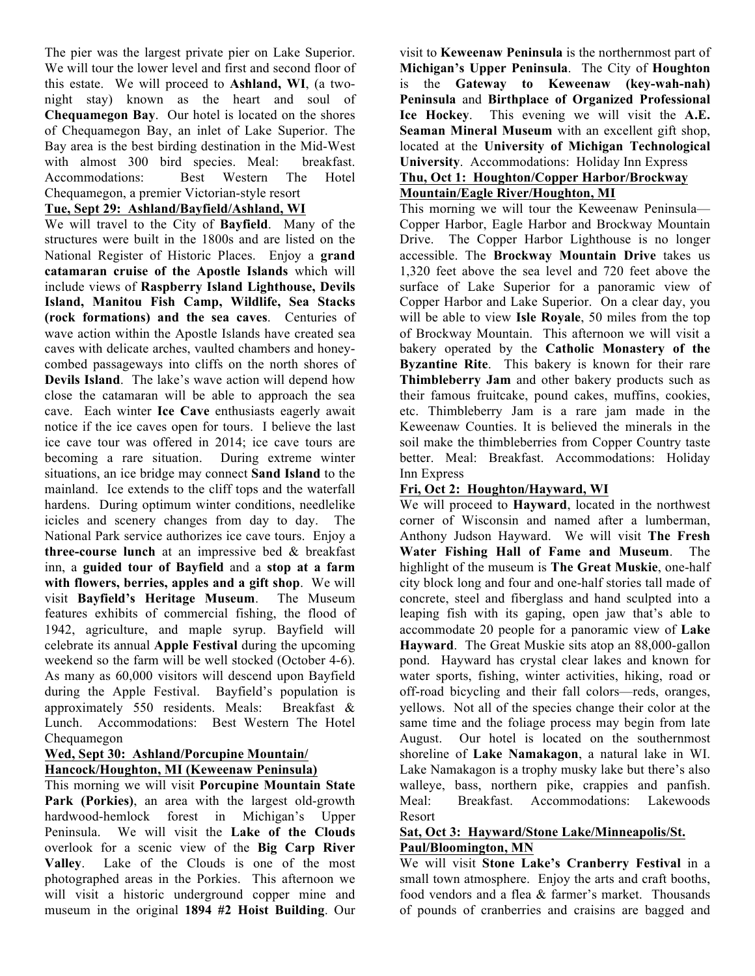The pier was the largest private pier on Lake Superior. We will tour the lower level and first and second floor of this estate. We will proceed to **Ashland, WI**, (a twonight stay) known as the heart and soul of **Chequamegon Bay**. Our hotel is located on the shores of Chequamegon Bay, an inlet of Lake Superior. The Bay area is the best birding destination in the Mid-West with almost 300 bird species. Meal: breakfast. Accommodations: Best Western The Hotel Chequamegon, a premier Victorian-style resort

## **Tue, Sept 29: Ashland/Bayfield/Ashland, WI**

We will travel to the City of **Bayfield**. Many of the structures were built in the 1800s and are listed on the National Register of Historic Places. Enjoy a **grand catamaran cruise of the Apostle Islands** which will include views of **Raspberry Island Lighthouse, Devils Island, Manitou Fish Camp, Wildlife, Sea Stacks (rock formations) and the sea caves**. Centuries of wave action within the Apostle Islands have created sea caves with delicate arches, vaulted chambers and honeycombed passageways into cliffs on the north shores of **Devils Island**. The lake's wave action will depend how close the catamaran will be able to approach the sea cave. Each winter **Ice Cave** enthusiasts eagerly await notice if the ice caves open for tours. I believe the last ice cave tour was offered in 2014; ice cave tours are becoming a rare situation. During extreme winter situations, an ice bridge may connect **Sand Island** to the mainland. Ice extends to the cliff tops and the waterfall hardens. During optimum winter conditions, needlelike icicles and scenery changes from day to day. The National Park service authorizes ice cave tours. Enjoy a **three-course lunch** at an impressive bed & breakfast inn, a **guided tour of Bayfield** and a **stop at a farm with flowers, berries, apples and a gift shop**. We will visit **Bayfield's Heritage Museum**. The Museum features exhibits of commercial fishing, the flood of 1942, agriculture, and maple syrup. Bayfield will celebrate its annual **Apple Festival** during the upcoming weekend so the farm will be well stocked (October 4-6). As many as 60,000 visitors will descend upon Bayfield during the Apple Festival. Bayfield's population is approximately 550 residents. Meals: Breakfast & Lunch. Accommodations: Best Western The Hotel Chequamegon

## **Wed, Sept 30: Ashland/Porcupine Mountain/ Hancock/Houghton, MI (Keweenaw Peninsula)**

This morning we will visit **Porcupine Mountain State Park (Porkies)**, an area with the largest old-growth hardwood-hemlock forest in Michigan's Upper Peninsula. We will visit the **Lake of the Clouds** overlook for a scenic view of the **Big Carp River Valley**. Lake of the Clouds is one of the most photographed areas in the Porkies. This afternoon we will visit a historic underground copper mine and museum in the original **1894 #2 Hoist Building**. Our

visit to **Keweenaw Peninsula** is the northernmost part of **Michigan's Upper Peninsula**. The City of **Houghton** is the **Gateway to Keweenaw (key-wah-nah) Peninsula** and **Birthplace of Organized Professional Ice Hockey**. This evening we will visit the **A.E. Seaman Mineral Museum** with an excellent gift shop, located at the **University of Michigan Technological University**. Accommodations: Holiday Inn Express **Thu, Oct 1: Houghton/Copper Harbor/Brockway** 

## **Mountain/Eagle River/Houghton, MI**

This morning we will tour the Keweenaw Peninsula— Copper Harbor, Eagle Harbor and Brockway Mountain Drive. The Copper Harbor Lighthouse is no longer accessible. The **Brockway Mountain Drive** takes us 1,320 feet above the sea level and 720 feet above the surface of Lake Superior for a panoramic view of Copper Harbor and Lake Superior. On a clear day, you will be able to view **Isle Royale**, 50 miles from the top of Brockway Mountain. This afternoon we will visit a bakery operated by the **Catholic Monastery of the Byzantine Rite**. This bakery is known for their rare **Thimbleberry Jam** and other bakery products such as their famous fruitcake, pound cakes, muffins, cookies, etc. Thimbleberry Jam is a rare jam made in the Keweenaw Counties. It is believed the minerals in the soil make the thimbleberries from Copper Country taste better. Meal: Breakfast. Accommodations: Holiday Inn Express

## **Fri, Oct 2: Houghton/Hayward, WI**

We will proceed to **Hayward**, located in the northwest corner of Wisconsin and named after a lumberman, Anthony Judson Hayward. We will visit **The Fresh Water Fishing Hall of Fame and Museum**. The highlight of the museum is **The Great Muskie**, one-half city block long and four and one-half stories tall made of concrete, steel and fiberglass and hand sculpted into a leaping fish with its gaping, open jaw that's able to accommodate 20 people for a panoramic view of **Lake Hayward**. The Great Muskie sits atop an 88,000-gallon pond. Hayward has crystal clear lakes and known for water sports, fishing, winter activities, hiking, road or off-road bicycling and their fall colors—reds, oranges, yellows. Not all of the species change their color at the same time and the foliage process may begin from late August. Our hotel is located on the southernmost shoreline of **Lake Namakagon**, a natural lake in WI. Lake Namakagon is a trophy musky lake but there's also walleye, bass, northern pike, crappies and panfish. Meal: Breakfast. Accommodations: Lakewoods Resort

#### **Sat, Oct 3: Hayward/Stone Lake/Minneapolis/St. Paul/Bloomington, MN**

We will visit **Stone Lake's Cranberry Festival** in a small town atmosphere. Enjoy the arts and craft booths, food vendors and a flea & farmer's market. Thousands of pounds of cranberries and craisins are bagged and